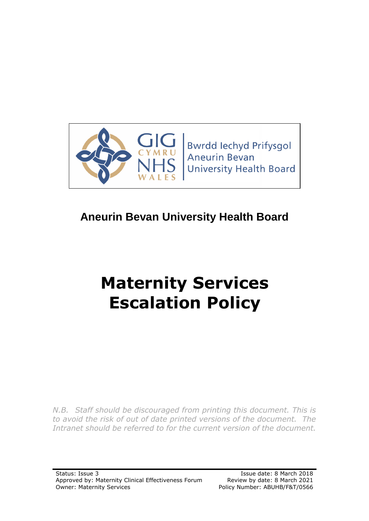

# **Aneurin Bevan University Health Board**

# **Maternity Services Escalation Policy**

*N.B. Staff should be discouraged from printing this document. This is to avoid the risk of out of date printed versions of the document. The Intranet should be referred to for the current version of the document.*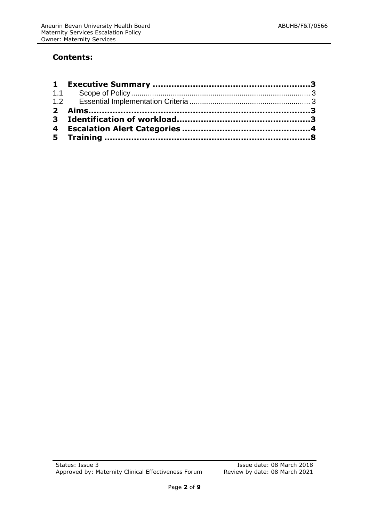# **Contents:**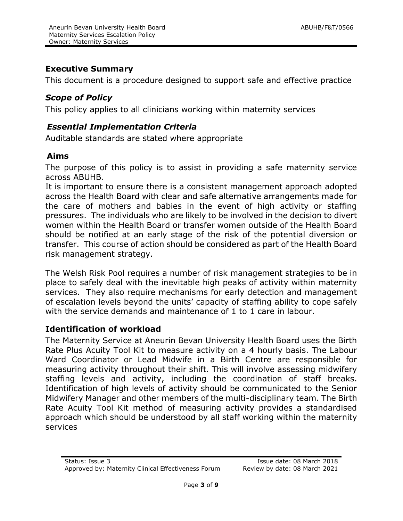# **Executive Summary**

This document is a procedure designed to support safe and effective practice

# *Scope of Policy*

This policy applies to all clinicians working within maternity services

# *Essential Implementation Criteria*

Auditable standards are stated where appropriate

# **Aims**

The purpose of this policy is to assist in providing a safe maternity service across ABUHB.

It is important to ensure there is a consistent management approach adopted across the Health Board with clear and safe alternative arrangements made for the care of mothers and babies in the event of high activity or staffing pressures. The individuals who are likely to be involved in the decision to divert women within the Health Board or transfer women outside of the Health Board should be notified at an early stage of the risk of the potential diversion or transfer. This course of action should be considered as part of the Health Board risk management strategy.

The Welsh Risk Pool requires a number of risk management strategies to be in place to safely deal with the inevitable high peaks of activity within maternity services. They also require mechanisms for early detection and management of escalation levels beyond the units' capacity of staffing ability to cope safely with the service demands and maintenance of 1 to 1 care in labour.

# **Identification of workload**

The Maternity Service at Aneurin Bevan University Health Board uses the Birth Rate Plus Acuity Tool Kit to measure activity on a 4 hourly basis. The Labour Ward Coordinator or Lead Midwife in a Birth Centre are responsible for measuring activity throughout their shift. This will involve assessing midwifery staffing levels and activity, including the coordination of staff breaks. Identification of high levels of activity should be communicated to the Senior Midwifery Manager and other members of the multi-disciplinary team. The Birth Rate Acuity Tool Kit method of measuring activity provides a standardised approach which should be understood by all staff working within the maternity services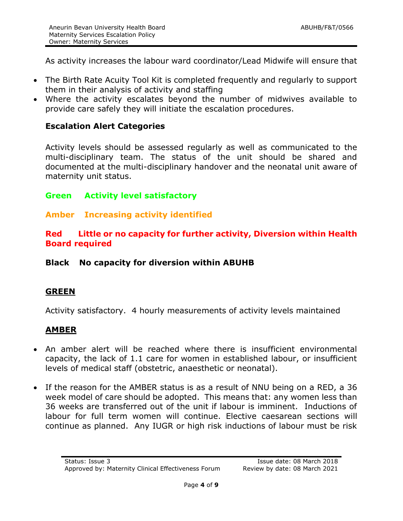As activity increases the labour ward coordinator/Lead Midwife will ensure that

- The Birth Rate Acuity Tool Kit is completed frequently and regularly to support them in their analysis of activity and staffing
- Where the activity escalates beyond the number of midwives available to provide care safely they will initiate the escalation procedures.

# **Escalation Alert Categories**

Activity levels should be assessed regularly as well as communicated to the multi-disciplinary team. The status of the unit should be shared and documented at the multi-disciplinary handover and the neonatal unit aware of maternity unit status.

#### **Green Activity level satisfactory**

#### **Amber Increasing activity identified**

#### **Red Little or no capacity for further activity, Diversion within Health Board required**

#### **Black No capacity for diversion within ABUHB**

#### **GREEN**

Activity satisfactory. 4 hourly measurements of activity levels maintained

#### **AMBER**

- An amber alert will be reached where there is insufficient environmental capacity, the lack of 1.1 care for women in established labour, or insufficient levels of medical staff (obstetric, anaesthetic or neonatal).
- If the reason for the AMBER status is as a result of NNU being on a RED, a 36 week model of care should be adopted. This means that: any women less than 36 weeks are transferred out of the unit if labour is imminent. Inductions of labour for full term women will continue. Elective caesarean sections will continue as planned. Any IUGR or high risk inductions of labour must be risk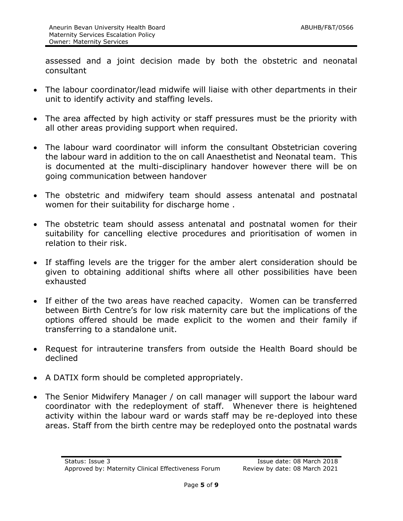assessed and a joint decision made by both the obstetric and neonatal consultant

- The labour coordinator/lead midwife will liaise with other departments in their unit to identify activity and staffing levels.
- The area affected by high activity or staff pressures must be the priority with all other areas providing support when required.
- The labour ward coordinator will inform the consultant Obstetrician covering the labour ward in addition to the on call Anaesthetist and Neonatal team. This is documented at the multi-disciplinary handover however there will be on going communication between handover
- The obstetric and midwifery team should assess antenatal and postnatal women for their suitability for discharge home .
- The obstetric team should assess antenatal and postnatal women for their suitability for cancelling elective procedures and prioritisation of women in relation to their risk.
- If staffing levels are the trigger for the amber alert consideration should be given to obtaining additional shifts where all other possibilities have been exhausted
- If either of the two areas have reached capacity. Women can be transferred between Birth Centre's for low risk maternity care but the implications of the options offered should be made explicit to the women and their family if transferring to a standalone unit.
- Request for intrauterine transfers from outside the Health Board should be declined
- A DATIX form should be completed appropriately.
- The Senior Midwifery Manager / on call manager will support the labour ward coordinator with the redeployment of staff. Whenever there is heightened activity within the labour ward or wards staff may be re-deployed into these areas. Staff from the birth centre may be redeployed onto the postnatal wards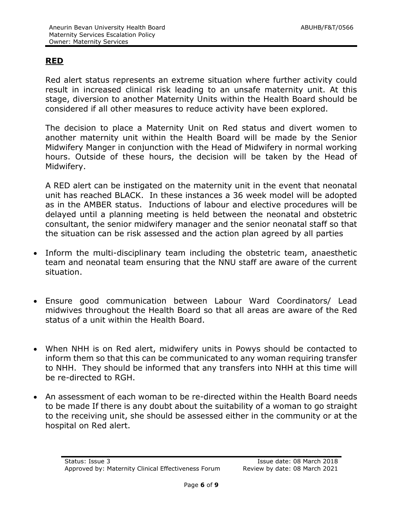# **RED**

Red alert status represents an extreme situation where further activity could result in increased clinical risk leading to an unsafe maternity unit. At this stage, diversion to another Maternity Units within the Health Board should be considered if all other measures to reduce activity have been explored.

The decision to place a Maternity Unit on Red status and divert women to another maternity unit within the Health Board will be made by the Senior Midwifery Manger in conjunction with the Head of Midwifery in normal working hours. Outside of these hours, the decision will be taken by the Head of Midwifery.

A RED alert can be instigated on the maternity unit in the event that neonatal unit has reached BLACK. In these instances a 36 week model will be adopted as in the AMBER status. Inductions of labour and elective procedures will be delayed until a planning meeting is held between the neonatal and obstetric consultant, the senior midwifery manager and the senior neonatal staff so that the situation can be risk assessed and the action plan agreed by all parties

- Inform the multi-disciplinary team including the obstetric team, anaesthetic team and neonatal team ensuring that the NNU staff are aware of the current situation.
- Ensure good communication between Labour Ward Coordinators/ Lead midwives throughout the Health Board so that all areas are aware of the Red status of a unit within the Health Board.
- When NHH is on Red alert, midwifery units in Powys should be contacted to inform them so that this can be communicated to any woman requiring transfer to NHH. They should be informed that any transfers into NHH at this time will be re-directed to RGH.
- An assessment of each woman to be re-directed within the Health Board needs to be made If there is any doubt about the suitability of a woman to go straight to the receiving unit, she should be assessed either in the community or at the hospital on Red alert.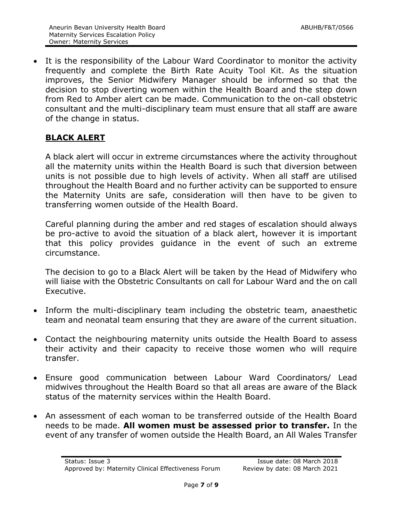It is the responsibility of the Labour Ward Coordinator to monitor the activity frequently and complete the Birth Rate Acuity Tool Kit. As the situation improves, the Senior Midwifery Manager should be informed so that the decision to stop diverting women within the Health Board and the step down from Red to Amber alert can be made. Communication to the on-call obstetric consultant and the multi-disciplinary team must ensure that all staff are aware of the change in status.

# **BLACK ALERT**

A black alert will occur in extreme circumstances where the activity throughout all the maternity units within the Health Board is such that diversion between units is not possible due to high levels of activity. When all staff are utilised throughout the Health Board and no further activity can be supported to ensure the Maternity Units are safe, consideration will then have to be given to transferring women outside of the Health Board.

Careful planning during the amber and red stages of escalation should always be pro-active to avoid the situation of a black alert, however it is important that this policy provides guidance in the event of such an extreme circumstance.

The decision to go to a Black Alert will be taken by the Head of Midwifery who will liaise with the Obstetric Consultants on call for Labour Ward and the on call Executive.

- Inform the multi-disciplinary team including the obstetric team, anaesthetic team and neonatal team ensuring that they are aware of the current situation.
- Contact the neighbouring maternity units outside the Health Board to assess their activity and their capacity to receive those women who will require transfer.
- Ensure good communication between Labour Ward Coordinators/ Lead midwives throughout the Health Board so that all areas are aware of the Black status of the maternity services within the Health Board.
- An assessment of each woman to be transferred outside of the Health Board needs to be made. **All women must be assessed prior to transfer.** In the event of any transfer of women outside the Health Board, an All Wales Transfer